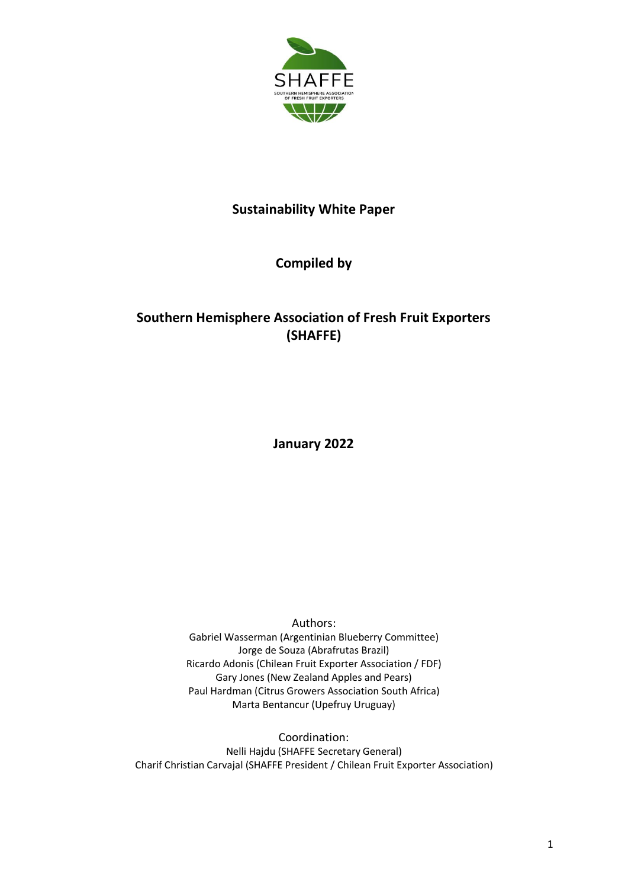

## **Sustainability White Paper**

## **Compiled by**

## **Southern Hemisphere Association of Fresh Fruit Exporters (SHAFFE)**

**January 2022**

Authors: Gabriel Wasserman (Argentinian Blueberry Committee) Jorge de Souza (Abrafrutas Brazil) Ricardo Adonis (Chilean Fruit Exporter Association / FDF) Gary Jones (New Zealand Apples and Pears) Paul Hardman (Citrus Growers Association South Africa) Marta Bentancur (Upefruy Uruguay)

Coordination: Nelli Hajdu (SHAFFE Secretary General) Charif Christian Carvajal (SHAFFE President / Chilean Fruit Exporter Association)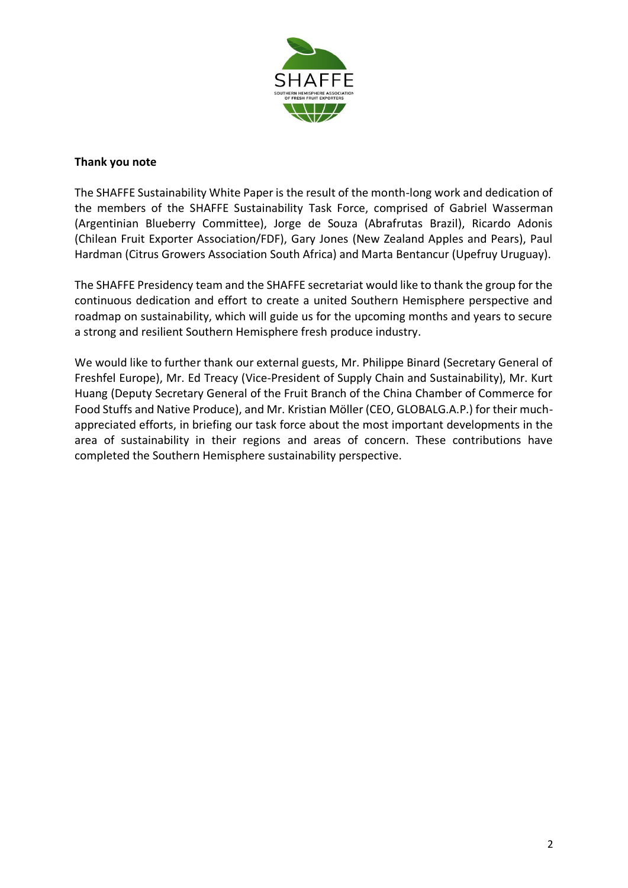

#### **Thank you note**

The SHAFFE Sustainability White Paper is the result of the month-long work and dedication of the members of the SHAFFE Sustainability Task Force, comprised of Gabriel Wasserman (Argentinian Blueberry Committee), Jorge de Souza (Abrafrutas Brazil), Ricardo Adonis (Chilean Fruit Exporter Association/FDF), Gary Jones (New Zealand Apples and Pears), Paul Hardman (Citrus Growers Association South Africa) and Marta Bentancur (Upefruy Uruguay).

The SHAFFE Presidency team and the SHAFFE secretariat would like to thank the group for the continuous dedication and effort to create a united Southern Hemisphere perspective and roadmap on sustainability, which will guide us for the upcoming months and years to secure a strong and resilient Southern Hemisphere fresh produce industry.

We would like to further thank our external guests, Mr. Philippe Binard (Secretary General of Freshfel Europe), Mr. Ed Treacy (Vice-President of Supply Chain and Sustainability), Mr. Kurt Huang (Deputy Secretary General of the Fruit Branch of the China Chamber of Commerce for Food Stuffs and Native Produce), and Mr. Kristian Möller (CEO, GLOBALG.A.P.) for their muchappreciated efforts, in briefing our task force about the most important developments in the area of sustainability in their regions and areas of concern. These contributions have completed the Southern Hemisphere sustainability perspective.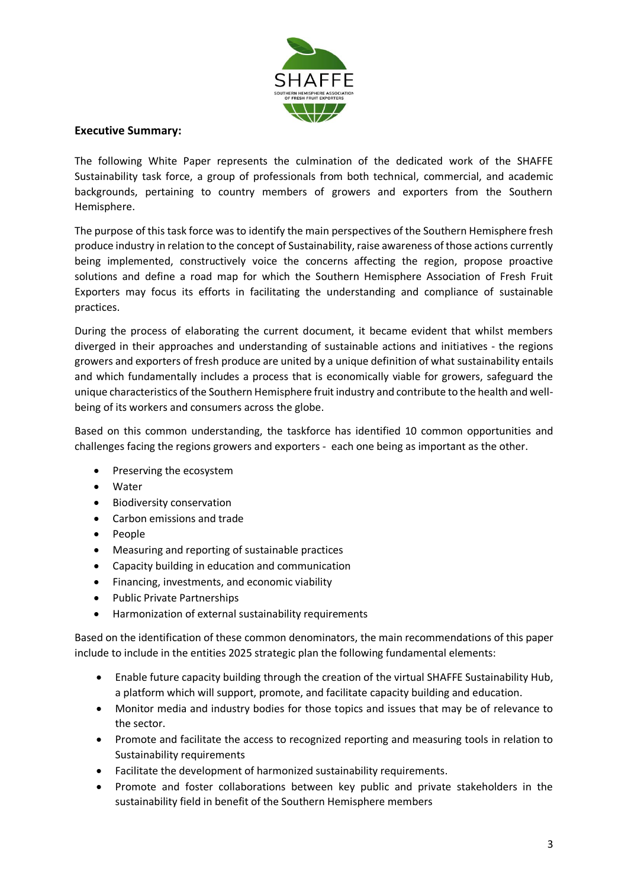

#### **Executive Summary:**

The following White Paper represents the culmination of the dedicated work of the SHAFFE Sustainability task force, a group of professionals from both technical, commercial, and academic backgrounds, pertaining to country members of growers and exporters from the Southern Hemisphere.

The purpose of this task force was to identify the main perspectives of the Southern Hemisphere fresh produce industry in relation to the concept of Sustainability, raise awareness of those actions currently being implemented, constructively voice the concerns affecting the region, propose proactive solutions and define a road map for which the Southern Hemisphere Association of Fresh Fruit Exporters may focus its efforts in facilitating the understanding and compliance of sustainable practices.

During the process of elaborating the current document, it became evident that whilst members diverged in their approaches and understanding of sustainable actions and initiatives - the regions growers and exporters of fresh produce are united by a unique definition of what sustainability entails and which fundamentally includes a process that is economically viable for growers, safeguard the unique characteristics of the Southern Hemisphere fruit industry and contribute to the health and wellbeing of its workers and consumers across the globe.

Based on this common understanding, the taskforce has identified 10 common opportunities and challenges facing the regions growers and exporters - each one being as important as the other.

- Preserving the ecosystem
- Water
- Biodiversity conservation
- Carbon emissions and trade
- People
- Measuring and reporting of sustainable practices
- Capacity building in education and communication
- Financing, investments, and economic viability
- Public Private Partnerships
- Harmonization of external sustainability requirements

Based on the identification of these common denominators, the main recommendations of this paper include to include in the entities 2025 strategic plan the following fundamental elements:

- Enable future capacity building through the creation of the virtual SHAFFE Sustainability Hub, a platform which will support, promote, and facilitate capacity building and education.
- Monitor media and industry bodies for those topics and issues that may be of relevance to the sector.
- Promote and facilitate the access to recognized reporting and measuring tools in relation to Sustainability requirements
- Facilitate the development of harmonized sustainability requirements.
- Promote and foster collaborations between key public and private stakeholders in the sustainability field in benefit of the Southern Hemisphere members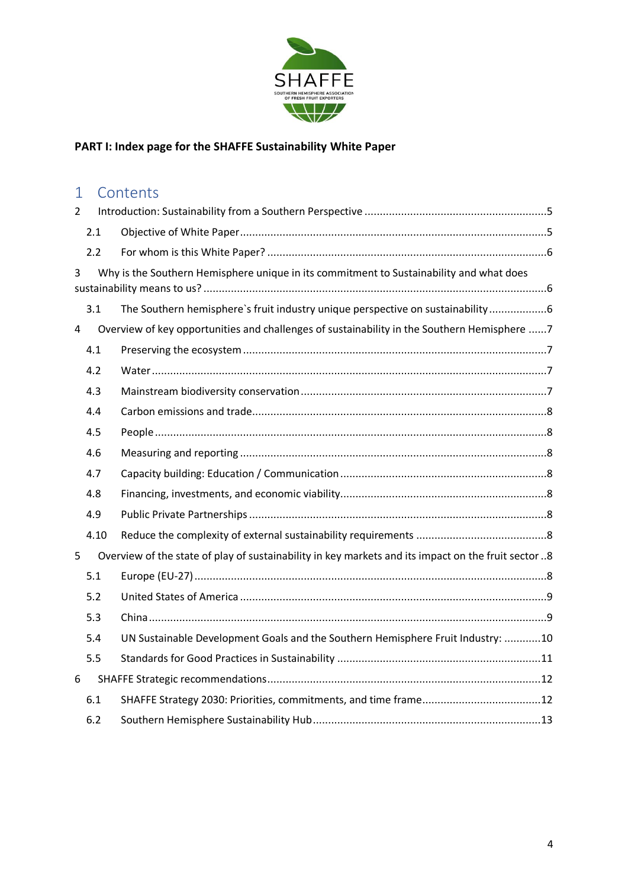

# **PART I: Index page for the SHAFFE Sustainability White Paper**

# 1 Contents

| $\overline{2}$                                                                               |      |                                                                                                     |  |  |  |  |  |  |  |  |
|----------------------------------------------------------------------------------------------|------|-----------------------------------------------------------------------------------------------------|--|--|--|--|--|--|--|--|
|                                                                                              | 2.1  |                                                                                                     |  |  |  |  |  |  |  |  |
|                                                                                              | 2.2  |                                                                                                     |  |  |  |  |  |  |  |  |
| Why is the Southern Hemisphere unique in its commitment to Sustainability and what does<br>3 |      |                                                                                                     |  |  |  |  |  |  |  |  |
|                                                                                              | 3.1  | The Southern hemisphere's fruit industry unique perspective on sustainability6                      |  |  |  |  |  |  |  |  |
| 4                                                                                            |      | Overview of key opportunities and challenges of sustainability in the Southern Hemisphere 7         |  |  |  |  |  |  |  |  |
|                                                                                              | 4.1  |                                                                                                     |  |  |  |  |  |  |  |  |
|                                                                                              | 4.2  |                                                                                                     |  |  |  |  |  |  |  |  |
|                                                                                              | 4.3  |                                                                                                     |  |  |  |  |  |  |  |  |
|                                                                                              | 4.4  |                                                                                                     |  |  |  |  |  |  |  |  |
|                                                                                              | 4.5  |                                                                                                     |  |  |  |  |  |  |  |  |
|                                                                                              | 4.6  |                                                                                                     |  |  |  |  |  |  |  |  |
|                                                                                              | 4.7  |                                                                                                     |  |  |  |  |  |  |  |  |
|                                                                                              | 4.8  |                                                                                                     |  |  |  |  |  |  |  |  |
|                                                                                              | 4.9  |                                                                                                     |  |  |  |  |  |  |  |  |
|                                                                                              | 4.10 |                                                                                                     |  |  |  |  |  |  |  |  |
| 5                                                                                            |      | Overview of the state of play of sustainability in key markets and its impact on the fruit sector 8 |  |  |  |  |  |  |  |  |
|                                                                                              | 5.1  |                                                                                                     |  |  |  |  |  |  |  |  |
|                                                                                              | 5.2  |                                                                                                     |  |  |  |  |  |  |  |  |
|                                                                                              | 5.3  |                                                                                                     |  |  |  |  |  |  |  |  |
|                                                                                              | 5.4  | UN Sustainable Development Goals and the Southern Hemisphere Fruit Industry: 10                     |  |  |  |  |  |  |  |  |
|                                                                                              | 5.5  |                                                                                                     |  |  |  |  |  |  |  |  |
| 6                                                                                            |      |                                                                                                     |  |  |  |  |  |  |  |  |
|                                                                                              | 6.1  |                                                                                                     |  |  |  |  |  |  |  |  |
|                                                                                              | 6.2  |                                                                                                     |  |  |  |  |  |  |  |  |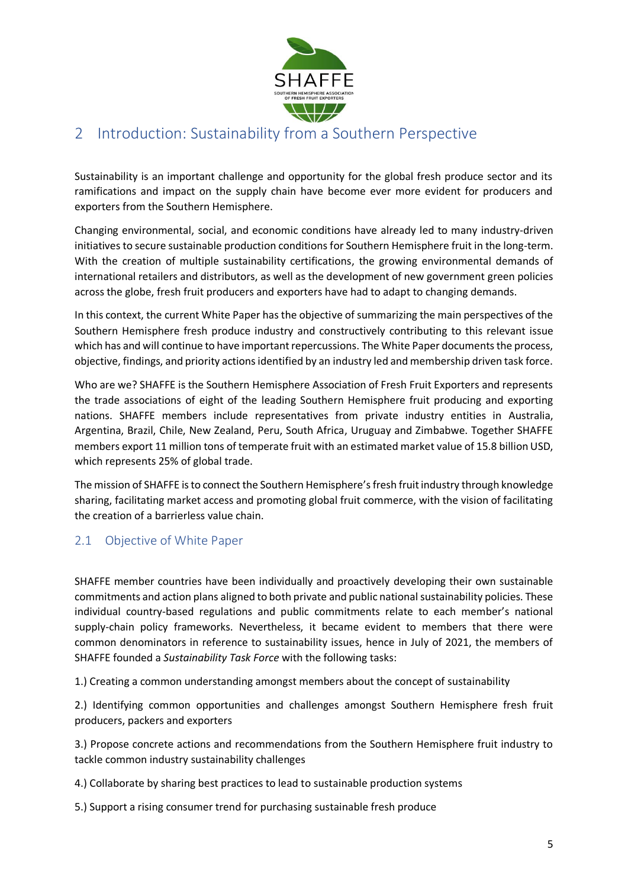

## <span id="page-4-0"></span>2 Introduction: Sustainability from a Southern Perspective

Sustainability is an important challenge and opportunity for the global fresh produce sector and its ramifications and impact on the supply chain have become ever more evident for producers and exporters from the Southern Hemisphere.

Changing environmental, social, and economic conditions have already led to many industry-driven initiatives to secure sustainable production conditions for Southern Hemisphere fruit in the long-term. With the creation of multiple sustainability certifications, the growing environmental demands of international retailers and distributors, as well as the development of new government green policies across the globe, fresh fruit producers and exporters have had to adapt to changing demands.

In this context, the current White Paper has the objective of summarizing the main perspectives of the Southern Hemisphere fresh produce industry and constructively contributing to this relevant issue which has and will continue to have important repercussions. The White Paper documents the process, objective, findings, and priority actionsidentified by an industry led and membership driven task force.

Who are we? SHAFFE is the Southern Hemisphere Association of Fresh Fruit Exporters and represents the trade associations of eight of the leading Southern Hemisphere fruit producing and exporting nations. SHAFFE members include representatives from private industry entities in Australia, Argentina, Brazil, Chile, New Zealand, Peru, South Africa, Uruguay and Zimbabwe. Together SHAFFE members export 11 million tons of temperate fruit with an estimated market value of 15.8 billion USD, which represents 25% of global trade.

The mission of SHAFFE is to connect the Southern Hemisphere's fresh fruit industry through knowledge sharing, facilitating market access and promoting global fruit commerce, with the vision of facilitating the creation of a barrierless value chain.

#### <span id="page-4-1"></span>2.1 Objective of White Paper

SHAFFE member countries have been individually and proactively developing their own sustainable commitments and action plans aligned to both private and public national sustainability policies. These individual country-based regulations and public commitments relate to each member's national supply-chain policy frameworks. Nevertheless, it became evident to members that there were common denominators in reference to sustainability issues, hence in July of 2021, the members of SHAFFE founded a *Sustainability Task Force* with the following tasks:

1.) Creating a common understanding amongst members about the concept of sustainability

2.) Identifying common opportunities and challenges amongst Southern Hemisphere fresh fruit producers, packers and exporters

3.) Propose concrete actions and recommendations from the Southern Hemisphere fruit industry to tackle common industry sustainability challenges

4.) Collaborate by sharing best practices to lead to sustainable production systems

5.) Support a rising consumer trend for purchasing sustainable fresh produce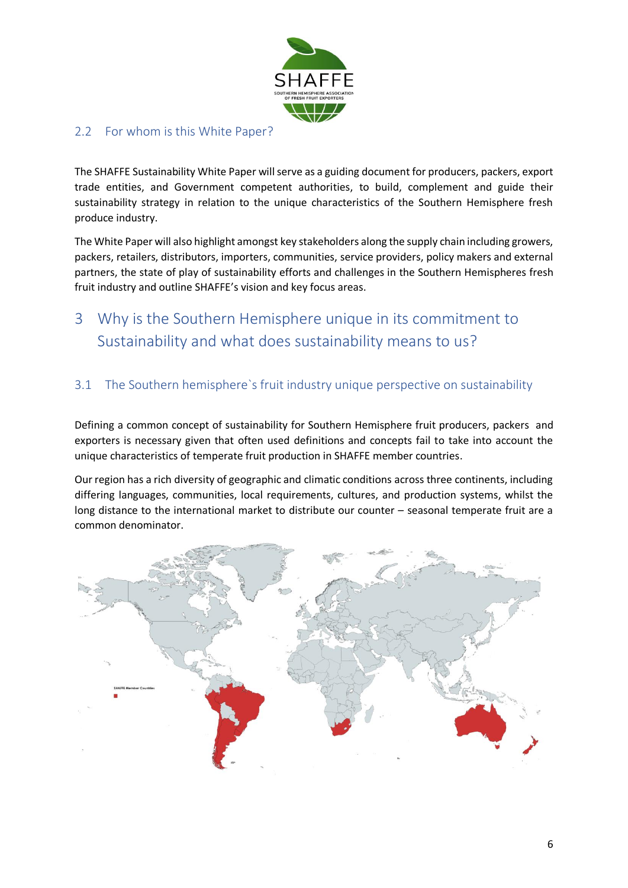

## <span id="page-5-0"></span>2.2 For whom is this White Paper?

The SHAFFE Sustainability White Paper will serve as a guiding document for producers, packers, export trade entities, and Government competent authorities, to build, complement and guide their sustainability strategy in relation to the unique characteristics of the Southern Hemisphere fresh produce industry.

The White Paper will also highlight amongst key stakeholders along the supply chain including growers, packers, retailers, distributors, importers, communities, service providers, policy makers and external partners, the state of play of sustainability efforts and challenges in the Southern Hemispheres fresh fruit industry and outline SHAFFE's vision and key focus areas.

# <span id="page-5-1"></span>3 Why is the Southern Hemisphere unique in its commitment to Sustainability and what does sustainability means to us?

### <span id="page-5-2"></span>3.1 The Southern hemisphere`s fruit industry unique perspective on sustainability

Defining a common concept of sustainability for Southern Hemisphere fruit producers, packers and exporters is necessary given that often used definitions and concepts fail to take into account the unique characteristics of temperate fruit production in SHAFFE member countries.

Our region has a rich diversity of geographic and climatic conditions across three continents, including differing languages, communities, local requirements, cultures, and production systems, whilst the long distance to the international market to distribute our counter – seasonal temperate fruit are a common denominator.

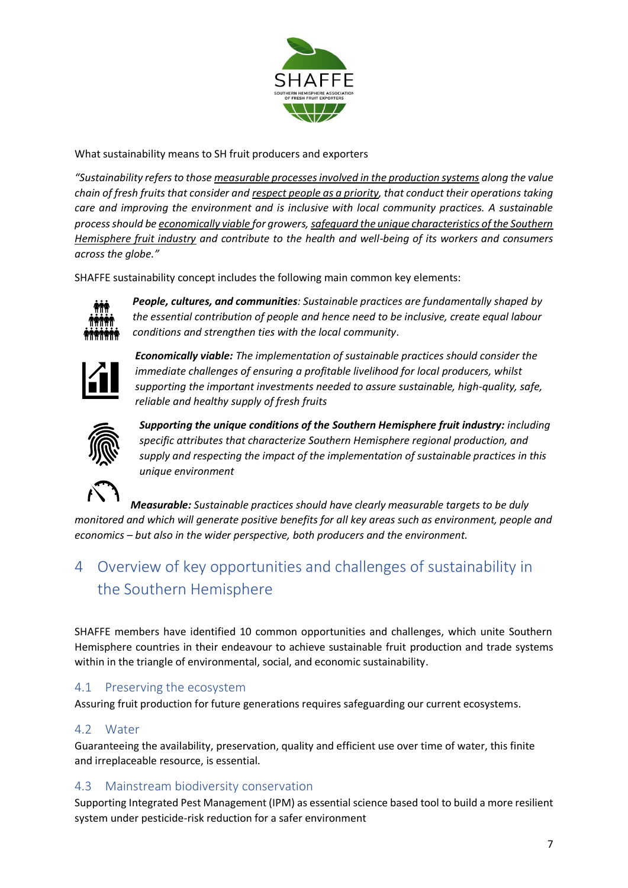

What sustainability means to SH fruit producers and exporters

*"Sustainability refers to those measurable processes involved in the production systems along the value chain of fresh fruits that consider and respect people as a priority, that conduct their operations taking care and improving the environment and is inclusive with local community practices. A sustainable process should be economically viable for growers, safeguard the unique characteristics of the Southern Hemisphere fruit industry and contribute to the health and well-being of its workers and consumers across the globe."*

SHAFFE sustainability concept includes the following main common key elements:



*People, cultures, and communities: Sustainable practices are fundamentally shaped by the essential contribution of people and hence need to be inclusive, create equal labour conditions and strengthen ties with the local community*.



*Economically viable: The implementation of sustainable practices should consider the immediate challenges of ensuring a profitable livelihood for local producers, whilst supporting the important investments needed to assure sustainable, high-quality, safe, reliable and healthy supply of fresh fruits*



*Supporting the unique conditions of the Southern Hemisphere fruit industry: including specific attributes that characterize Southern Hemisphere regional production, and supply and respecting the impact of the implementation of sustainable practices in this unique environment*

*Measurable: Sustainable practices should have clearly measurable targets to be duly monitored and which will generate positive benefits for all key areas such as environment, people and economics – but also in the wider perspective, both producers and the environment.* 

# <span id="page-6-0"></span>4 Overview of key opportunities and challenges of sustainability in the Southern Hemisphere

SHAFFE members have identified 10 common opportunities and challenges, which unite Southern Hemisphere countries in their endeavour to achieve sustainable fruit production and trade systems within in the triangle of environmental, social, and economic sustainability.

### <span id="page-6-1"></span>4.1 Preserving the ecosystem

Assuring fruit production for future generations requires safeguarding our current ecosystems.

#### <span id="page-6-2"></span>4.2 Water

Guaranteeing the availability, preservation, quality and efficient use over time of water, this finite and irreplaceable resource, is essential.

#### <span id="page-6-3"></span>4.3 Mainstream biodiversity conservation

Supporting Integrated Pest Management (IPM) as essential science based tool to build a more resilient system under pesticide-risk reduction for a safer environment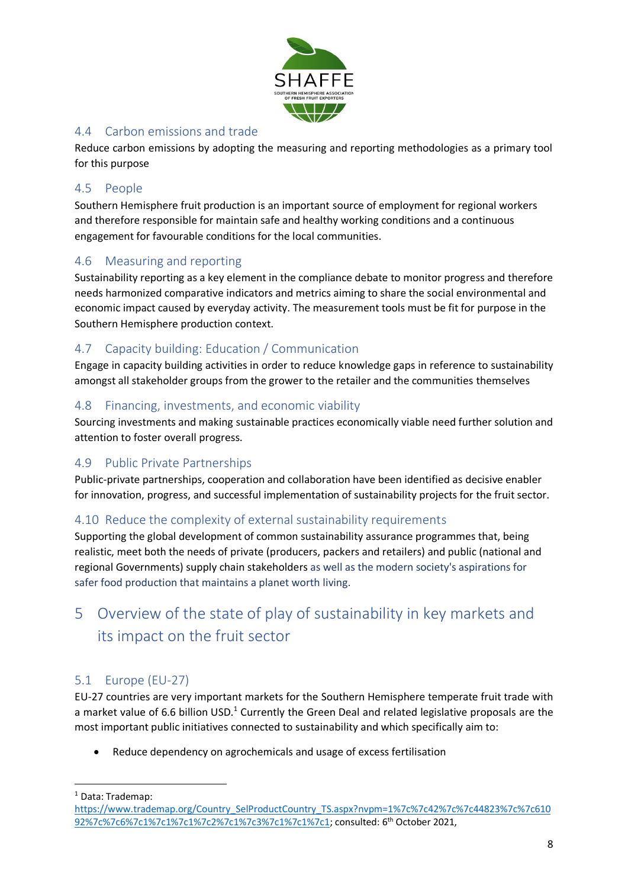

## <span id="page-7-0"></span>4.4 Carbon emissions and trade

Reduce carbon emissions by adopting the measuring and reporting methodologies as a primary tool for this purpose

## <span id="page-7-1"></span>4.5 People

Southern Hemisphere fruit production is an important source of employment for regional workers and therefore responsible for maintain safe and healthy working conditions and a continuous engagement for favourable conditions for the local communities.

## <span id="page-7-2"></span>4.6 Measuring and reporting

Sustainability reporting as a key element in the compliance debate to monitor progress and therefore needs harmonized comparative indicators and metrics aiming to share the social environmental and economic impact caused by everyday activity. The measurement tools must be fit for purpose in the Southern Hemisphere production context.

## <span id="page-7-3"></span>4.7 Capacity building: Education / Communication

Engage in capacity building activities in order to reduce knowledge gaps in reference to sustainability amongst all stakeholder groups from the grower to the retailer and the communities themselves

## <span id="page-7-4"></span>4.8 Financing, investments, and economic viability

Sourcing investments and making sustainable practices economically viable need further solution and attention to foster overall progress.

### <span id="page-7-5"></span>4.9 Public Private Partnerships

Public-private partnerships, cooperation and collaboration have been identified as decisive enabler for innovation, progress, and successful implementation of sustainability projects for the fruit sector.

### <span id="page-7-6"></span>4.10 Reduce the complexity of external sustainability requirements

Supporting the global development of common sustainability assurance programmes that, being realistic, meet both the needs of private (producers, packers and retailers) and public (national and regional Governments) supply chain stakeholders as well as the modern society's aspirations for safer food production that maintains a planet worth living.

# <span id="page-7-7"></span>5 Overview of the state of play of sustainability in key markets and its impact on the fruit sector

### <span id="page-7-8"></span>5.1 Europe (EU-27)

EU-27 countries are very important markets for the Southern Hemisphere temperate fruit trade with a market value of 6.6 billion USD.<sup>1</sup> Currently the Green Deal and related legislative proposals are the most important public initiatives connected to sustainability and which specifically aim to:

Reduce dependency on agrochemicals and usage of excess fertilisation

<sup>1</sup> Data: Trademap:

[https://www.trademap.org/Country\\_SelProductCountry\\_TS.aspx?nvpm=1%7c%7c42%7c%7c44823%7c%7c610](https://www.trademap.org/Country_SelProductCountry_TS.aspx?nvpm=1%7c%7c42%7c%7c44823%7c%7c61092%7c%7c6%7c1%7c1%7c1%7c2%7c1%7c3%7c1%7c1%7c1) [92%7c%7c6%7c1%7c1%7c1%7c2%7c1%7c3%7c1%7c1%7c1;](https://www.trademap.org/Country_SelProductCountry_TS.aspx?nvpm=1%7c%7c42%7c%7c44823%7c%7c61092%7c%7c6%7c1%7c1%7c1%7c2%7c1%7c3%7c1%7c1%7c1) consulted: 6th October 2021,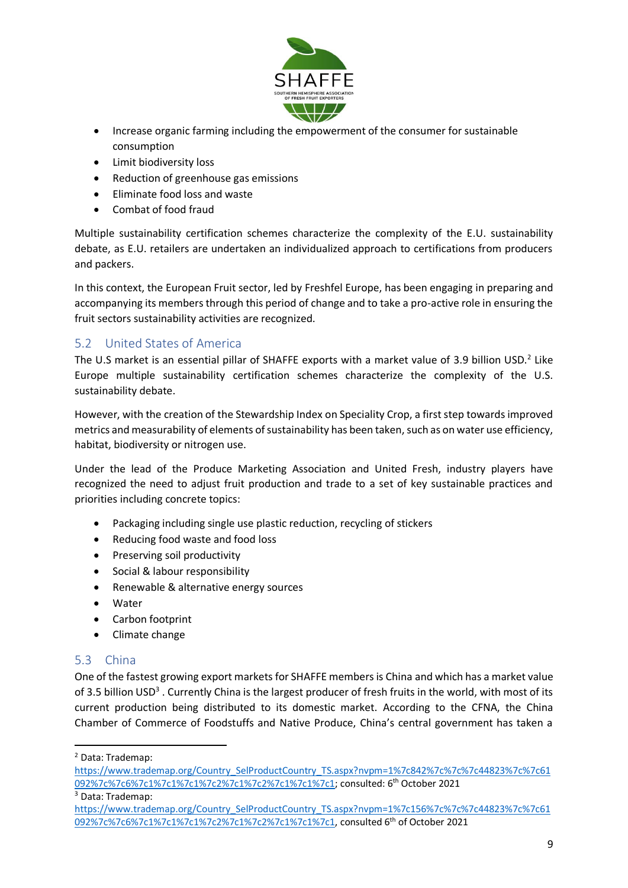

- Increase organic farming including the empowerment of the consumer for sustainable consumption
- Limit biodiversity loss
- Reduction of greenhouse gas emissions
- Eliminate food loss and waste
- Combat of food fraud

Multiple sustainability certification schemes characterize the complexity of the E.U. sustainability debate, as E.U. retailers are undertaken an individualized approach to certifications from producers and packers.

In this context, the European Fruit sector, led by Freshfel Europe, has been engaging in preparing and accompanying its members through this period of change and to take a pro-active role in ensuring the fruit sectors sustainability activities are recognized.

## <span id="page-8-0"></span>5.2 United States of America

The U.S market is an essential pillar of SHAFFE exports with a market value of 3.9 billion USD.<sup>2</sup> Like Europe multiple sustainability certification schemes characterize the complexity of the U.S. sustainability debate.

However, with the creation of the Stewardship Index on Speciality Crop, a first step towards improved metrics and measurability of elements of sustainability has been taken, such as on water use efficiency, habitat, biodiversity or nitrogen use.

Under the lead of the Produce Marketing Association and United Fresh, industry players have recognized the need to adjust fruit production and trade to a set of key sustainable practices and priorities including concrete topics:

- Packaging including single use plastic reduction, recycling of stickers
- Reducing food waste and food loss
- Preserving soil productivity
- Social & labour responsibility
- Renewable & alternative energy sources
- Water
- Carbon footprint
- Climate change

### <span id="page-8-1"></span>5.3 China

One of the fastest growing export markets for SHAFFE members is China and which has a market value of 3.5 billion USD<sup>3</sup>. Currently China is the largest producer of fresh fruits in the world, with most of its current production being distributed to its domestic market. According to the CFNA, the China Chamber of Commerce of Foodstuffs and Native Produce, China's central government has taken a

<sup>2</sup> Data: Trademap:

[https://www.trademap.org/Country\\_SelProductCountry\\_TS.aspx?nvpm=1%7c842%7c%7c%7c44823%7c%7c61](https://www.trademap.org/Country_SelProductCountry_TS.aspx?nvpm=1%7c842%7c%7c%7c44823%7c%7c61092%7c%7c6%7c1%7c1%7c1%7c2%7c1%7c2%7c1%7c1%7c1) [092%7c%7c6%7c1%7c1%7c1%7c2%7c1%7c2%7c1%7c1%7c1;](https://www.trademap.org/Country_SelProductCountry_TS.aspx?nvpm=1%7c842%7c%7c%7c44823%7c%7c61092%7c%7c6%7c1%7c1%7c1%7c2%7c1%7c2%7c1%7c1%7c1) consulted: 6th October 2021

<sup>3</sup> Data: Trademap:

[https://www.trademap.org/Country\\_SelProductCountry\\_TS.aspx?nvpm=1%7c156%7c%7c%7c44823%7c%7c61](https://www.trademap.org/Country_SelProductCountry_TS.aspx?nvpm=1%7c156%7c%7c%7c44823%7c%7c61092%7c%7c6%7c1%7c1%7c1%7c2%7c1%7c2%7c1%7c1%7c1) [092%7c%7c6%7c1%7c1%7c1%7c2%7c1%7c2%7c1%7c1%7c1,](https://www.trademap.org/Country_SelProductCountry_TS.aspx?nvpm=1%7c156%7c%7c%7c44823%7c%7c61092%7c%7c6%7c1%7c1%7c1%7c2%7c1%7c2%7c1%7c1%7c1) consulted 6th of October 2021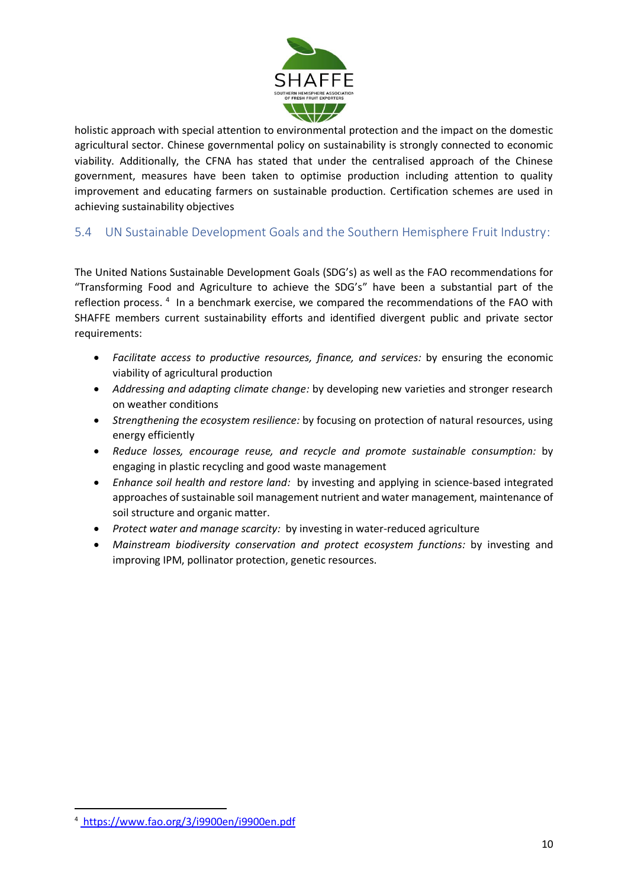

holistic approach with special attention to environmental protection and the impact on the domestic agricultural sector. Chinese governmental policy on sustainability is strongly connected to economic viability. Additionally, the CFNA has stated that under the centralised approach of the Chinese government, measures have been taken to optimise production including attention to quality improvement and educating farmers on sustainable production. Certification schemes are used in achieving sustainability objectives

## <span id="page-9-0"></span>5.4 UN Sustainable Development Goals and the Southern Hemisphere Fruit Industry:

The United Nations Sustainable Development Goals (SDG's) as well as the FAO recommendations for "Transforming Food and Agriculture to achieve the SDG's" have been a substantial part of the reflection process. <sup>4</sup> In a benchmark exercise, we compared the recommendations of the FAO with SHAFFE members current sustainability efforts and identified divergent public and private sector requirements:

- *Facilitate access to productive resources, finance, and services:* by ensuring the economic viability of agricultural production
- *Addressing and adapting climate change:* by developing new varieties and stronger research on weather conditions
- *Strengthening the ecosystem resilience:* by focusing on protection of natural resources, using energy efficiently
- *Reduce losses, encourage reuse, and recycle and promote sustainable consumption:* by engaging in plastic recycling and good waste management
- *Enhance soil health and restore land:* by investing and applying in science-based integrated approaches of sustainable soil management nutrient and water management, maintenance of soil structure and organic matter.
- *Protect water and manage scarcity:* by investing in water-reduced agriculture
- *Mainstream biodiversity conservation and protect ecosystem functions:* by investing and improving IPM, pollinator protection, genetic resources.

<sup>4</sup> https://www.fao.org/3/i9900en/i9900en.pdf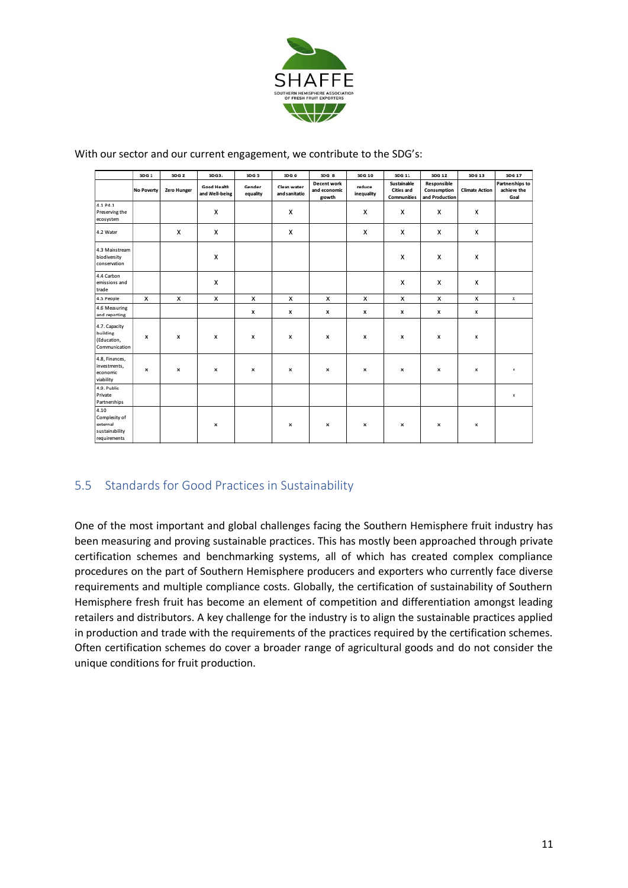

With our sector and our current engagement, we contribute to the SDG's:

|                                                                     | SDG <sub>1</sub> | SDG <sub>2</sub> | SDG3:                                | SDG <sub>5</sub>   | SDG <sub>6</sub>             | SDG <sub>8</sub>                      | SDG 10               | SDG 11                                          | SDG 12                                       | SDG 13                | <b>SDG 17</b>                          |
|---------------------------------------------------------------------|------------------|------------------|--------------------------------------|--------------------|------------------------------|---------------------------------------|----------------------|-------------------------------------------------|----------------------------------------------|-----------------------|----------------------------------------|
|                                                                     | No Poverty       | Zero Hunger      | <b>Good Health</b><br>and Well-being | Gender<br>equality | Clean water<br>and sanitatio | Decent work<br>and economic<br>growth | reduce<br>inequality | Sustainable<br><b>Cities and</b><br>Communities | Responsible<br>Consumption<br>and Production | <b>Climate Action</b> | Partnerships to<br>achieve the<br>Goal |
| 4.1 P4.1<br>Preserving the<br>ecosystem                             |                  |                  | x                                    |                    | x                            |                                       | x                    | х                                               | x                                            | х                     |                                        |
| 4.2 Water                                                           |                  | x                | x                                    |                    | x                            |                                       | х                    | x                                               | x                                            | x                     |                                        |
| 4.3 Mainstream<br>biodiversity<br>conservation                      |                  |                  | x                                    |                    |                              |                                       |                      | х                                               | x                                            | x                     |                                        |
| 4.4 Carbon<br>emissions and<br>trade                                |                  |                  | x                                    |                    |                              |                                       |                      | x                                               | x                                            | x                     |                                        |
| 4.5 People                                                          | x                | x                | x                                    | x                  | x                            | x                                     | x                    | x                                               | x                                            | x                     | х                                      |
| 4.6 Measuring<br>and reporting                                      |                  |                  |                                      | x                  | x                            | x                                     | x                    | x                                               | x                                            | x                     |                                        |
| 4.7. Capacity<br>building<br>(Education,<br>Communication           | x                | x                | x                                    | x                  | x                            | x                                     | x                    | x                                               | x                                            | x                     |                                        |
| 4.8, Finances,<br>investments,<br>economic<br>viability             | x                | x                | x                                    | x                  | x                            | x                                     | x                    | х                                               | x                                            | x                     | ×                                      |
| 4.9. Public<br>Private<br>Partnerships                              |                  |                  |                                      |                    |                              |                                       |                      |                                                 |                                              |                       | ×                                      |
| 4.10<br>Complexity of<br>external<br>sustainability<br>requirements |                  |                  | x                                    |                    | x                            | x                                     | х                    | х                                               | x                                            | x                     |                                        |

#### <span id="page-10-0"></span>5.5 Standards for Good Practices in Sustainability

One of the most important and global challenges facing the Southern Hemisphere fruit industry has been measuring and proving sustainable practices. This has mostly been approached through private certification schemes and benchmarking systems, all of which has created complex compliance procedures on the part of Southern Hemisphere producers and exporters who currently face diverse requirements and multiple compliance costs. Globally, the certification of sustainability of Southern Hemisphere fresh fruit has become an element of competition and differentiation amongst leading retailers and distributors. A key challenge for the industry is to align the sustainable practices applied in production and trade with the requirements of the practices required by the certification schemes. Often certification schemes do cover a broader range of agricultural goods and do not consider the unique conditions for fruit production.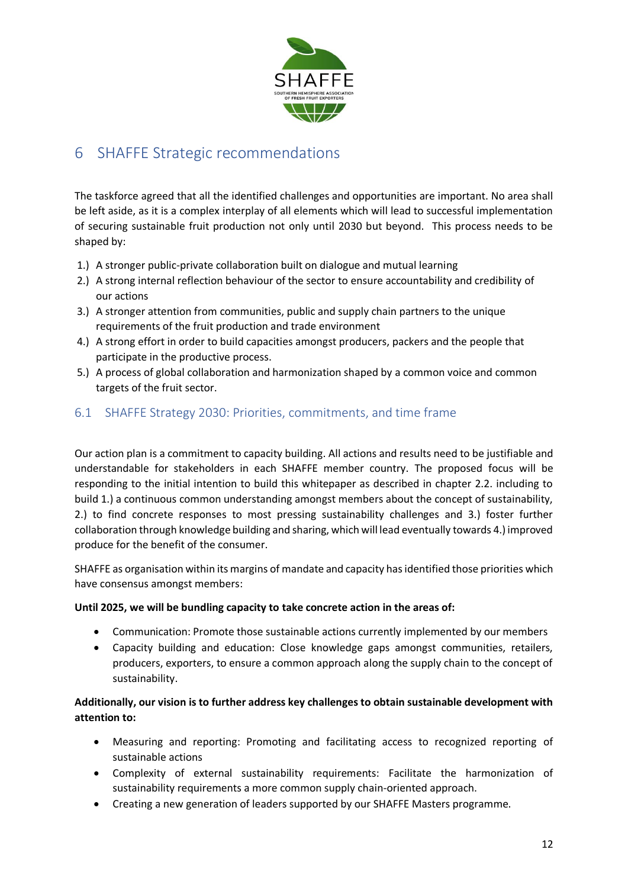

## <span id="page-11-0"></span>6 SHAFFE Strategic recommendations

The taskforce agreed that all the identified challenges and opportunities are important. No area shall be left aside, as it is a complex interplay of all elements which will lead to successful implementation of securing sustainable fruit production not only until 2030 but beyond. This process needs to be shaped by:

- 1.) A stronger public-private collaboration built on dialogue and mutual learning
- 2.) A strong internal reflection behaviour of the sector to ensure accountability and credibility of our actions
- 3.) A stronger attention from communities, public and supply chain partners to the unique requirements of the fruit production and trade environment
- 4.) A strong effort in order to build capacities amongst producers, packers and the people that participate in the productive process.
- 5.) A process of global collaboration and harmonization shaped by a common voice and common targets of the fruit sector.

#### <span id="page-11-1"></span>6.1 SHAFFE Strategy 2030: Priorities, commitments, and time frame

Our action plan is a commitment to capacity building. All actions and results need to be justifiable and understandable for stakeholders in each SHAFFE member country. The proposed focus will be responding to the initial intention to build this whitepaper as described in chapter 2.2. including to build 1.) a continuous common understanding amongst members about the concept of sustainability, 2.) to find concrete responses to most pressing sustainability challenges and 3.) foster further collaboration through knowledge building and sharing, which will lead eventually towards 4.) improved produce for the benefit of the consumer.

SHAFFE as organisation within its margins of mandate and capacity has identified those priorities which have consensus amongst members:

#### **Until 2025, we will be bundling capacity to take concrete action in the areas of:**

- Communication: Promote those sustainable actions currently implemented by our members
- Capacity building and education: Close knowledge gaps amongst communities, retailers, producers, exporters, to ensure a common approach along the supply chain to the concept of sustainability.

#### **Additionally, our vision is to further address key challenges to obtain sustainable development with attention to:**

- Measuring and reporting: Promoting and facilitating access to recognized reporting of sustainable actions
- Complexity of external sustainability requirements: Facilitate the harmonization of sustainability requirements a more common supply chain-oriented approach.
- Creating a new generation of leaders supported by our SHAFFE Masters programme.